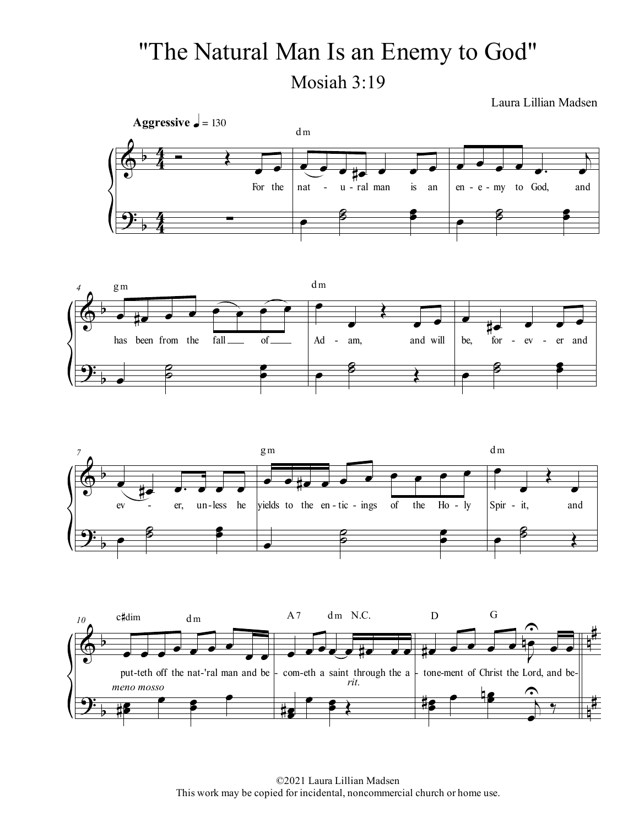## "The Natural Man Is an Enemy to God" Mosiah 3:19

Laura Lillian Madsen









<sup>©2021</sup> Laura Lillian Madsen This work may be copied for incidental, noncommercial church or home use.